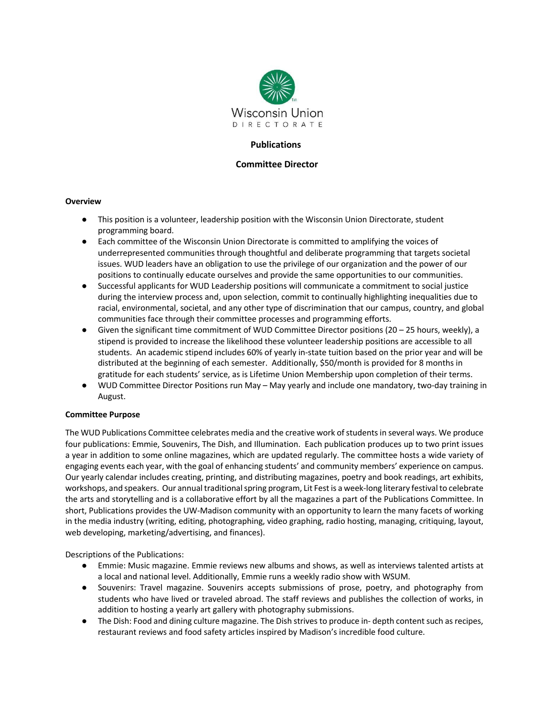

## **Publications**

### **Committee Director**

#### **Overview**

- This position is a volunteer, leadership position with the Wisconsin Union Directorate, student programming board.
- Each committee of the Wisconsin Union Directorate is committed to amplifying the voices of underrepresented communities through thoughtful and deliberate programming that targets societal issues. WUD leaders have an obligation to use the privilege of our organization and the power of our positions to continually educate ourselves and provide the same opportunities to our communities.
- Successful applicants for WUD Leadership positions will communicate a commitment to social justice during the interview process and, upon selection, commit to continually highlighting inequalities due to racial, environmental, societal, and any other type of discrimination that our campus, country, and global communities face through their committee processes and programming efforts.
- Given the significant time commitment of WUD Committee Director positions (20 25 hours, weekly), a stipend is provided to increase the likelihood these volunteer leadership positions are accessible to all students. An academic stipend includes 60% of yearly in-state tuition based on the prior year and will be distributed at the beginning of each semester. Additionally, \$50/month is provided for 8 months in gratitude for each students' service, as is Lifetime Union Membership upon completion of their terms.
- WUD Committee Director Positions run May May yearly and include one mandatory, two-day training in August.

#### **Committee Purpose**

The WUD Publications Committee celebrates media and the creative work of students in several ways. We produce four publications: Emmie, Souvenirs, The Dish, and Illumination. Each publication produces up to two print issues a year in addition to some online magazines, which are updated regularly. The committee hosts a wide variety of engaging events each year, with the goal of enhancing students' and community members' experience on campus. Our yearly calendar includes creating, printing, and distributing magazines, poetry and book readings, art exhibits, workshops, and speakers. Our annual traditional spring program, Lit Fest is a week-long literary festival to celebrate the arts and storytelling and is a collaborative effort by all the magazines a part of the Publications Committee. In short, Publications provides the UW-Madison community with an opportunity to learn the many facets of working in the media industry (writing, editing, photographing, video graphing, radio hosting, managing, critiquing, layout, web developing, marketing/advertising, and finances).

Descriptions of the Publications:

- Emmie: Music magazine. Emmie reviews new albums and shows, as well as interviews talented artists at a local and national level. Additionally, Emmie runs a weekly radio show with WSUM.
- Souvenirs: Travel magazine. Souvenirs accepts submissions of prose, poetry, and photography from students who have lived or traveled abroad. The staff reviews and publishes the collection of works, in addition to hosting a yearly art gallery with photography submissions.
- The Dish: Food and dining culture magazine. The Dish strives to produce in- depth content such as recipes, restaurant reviews and food safety articles inspired by Madison's incredible food culture.